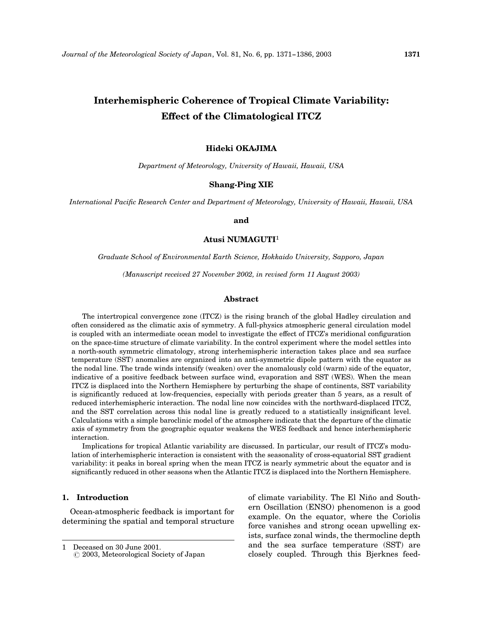# Interhemispheric Coherence of Tropical Climate Variability:

# Effect of the Climatological ITCZ

# Hideki OKAJIMA

Department of Meteorology, University of Hawaii, Hawaii, USA

# Shang-Ping XIE

International Pacific Research Center and Department of Meteorology, University of Hawaii, Hawaii, USA

### and

Atusi NUMAGUTI<sup>1</sup>

Graduate School of Environmental Earth Science, Hokkaido University, Sapporo, Japan

(Manuscript received 27 November 2002, in revised form 11 August 2003)

#### Abstract

The intertropical convergence zone (ITCZ) is the rising branch of the global Hadley circulation and often considered as the climatic axis of symmetry. A full-physics atmospheric general circulation model is coupled with an intermediate ocean model to investigate the effect of ITCZ's meridional configuration on the space-time structure of climate variability. In the control experiment where the model settles into a north-south symmetric climatology, strong interhemispheric interaction takes place and sea surface temperature (SST) anomalies are organized into an anti-symmetric dipole pattern with the equator as the nodal line. The trade winds intensify (weaken) over the anomalously cold (warm) side of the equator, indicative of a positive feedback between surface wind, evaporation and SST (WES). When the mean ITCZ is displaced into the Northern Hemisphere by perturbing the shape of continents, SST variability is significantly reduced at low-frequencies, especially with periods greater than 5 years, as a result of reduced interhemispheric interaction. The nodal line now coincides with the northward-displaced ITCZ, and the SST correlation across this nodal line is greatly reduced to a statistically insignificant level. Calculations with a simple baroclinic model of the atmosphere indicate that the departure of the climatic axis of symmetry from the geographic equator weakens the WES feedback and hence interhemispheric interaction.

Implications for tropical Atlantic variability are discussed. In particular, our result of ITCZ's modulation of interhemispheric interaction is consistent with the seasonality of cross-equatorial SST gradient variability: it peaks in boreal spring when the mean ITCZ is nearly symmetric about the equator and is significantly reduced in other seasons when the Atlantic ITCZ is displaced into the Northern Hemisphere.

# 1. Introduction

Ocean-atmospheric feedback is important for determining the spatial and temporal structure of climate variability. The El Niño and Southern Oscillation (ENSO) phenomenon is a good example. On the equator, where the Coriolis force vanishes and strong ocean upwelling exists, surface zonal winds, the thermocline depth and the sea surface temperature (SST) are closely coupled. Through this Bjerknes feed-

<sup>1</sup> Deceased on 30 June 2001.

*<sup>(</sup>* 2003, Meteorological Society of Japan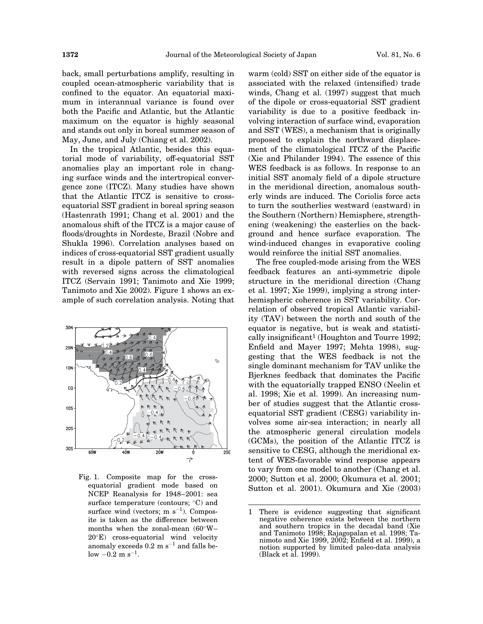back, small perturbations amplify, resulting in coupled ocean-atmospheric variability that is confined to the equator. An equatorial maximum in interannual variance is found over both the Pacific and Atlantic, but the Atlantic maximum on the equator is highly seasonal and stands out only in boreal summer season of May, June, and July (Chiang et al. 2002).

In the tropical Atlantic, besides this equatorial mode of variability, off-equatorial SST anomalies play an important role in changing surface winds and the intertropical convergence zone (ITCZ). Many studies have shown that the Atlantic ITCZ is sensitive to crossequatorial SST gradient in boreal spring season (Hastenrath 1991; Chang et al. 2001) and the anomalous shift of the ITCZ is a major cause of floods/droughts in Nordeste, Brazil (Nobre and Shukla 1996). Correlation analyses based on indices of cross-equatorial SST gradient usually result in a dipole pattern of SST anomalies with reversed signs across the climatological ITCZ (Servain 1991; Tanimoto and Xie 1999; Tanimoto and Xie 2002). Figure 1 shows an example of such correlation analysis. Noting that



Fig. 1. Composite map for the crossequatorial gradient mode based on NCEP Reanalysis for 1948–2001: sea surface temperature (contours;  $\mathrm{C}$ ) and surface wind (vectors;  $m s^{-1}$ ). Composite is taken as the difference between months when the zonal-mean  $(60^{\circ}W -$ 20E) cross-equatorial wind velocity anomaly exceeds  $0.2 \text{ m s}^{-1}$  and falls be $low -0.2 \text{ m s}^{-1}.$ 

warm (cold) SST on either side of the equator is associated with the relaxed (intensified) trade winds, Chang et al. (1997) suggest that much of the dipole or cross-equatorial SST gradient variability is due to a positive feedback involving interaction of surface wind, evaporation and SST (WES), a mechanism that is originally proposed to explain the northward displacement of the climatological ITCZ of the Pacific (Xie and Philander 1994). The essence of this WES feedback is as follows. In response to an initial SST anomaly field of a dipole structure in the meridional direction, anomalous southerly winds are induced. The Coriolis force acts to turn the southerlies westward (eastward) in the Southern (Northern) Hemisphere, strengthening (weakening) the easterlies on the background and hence surface evaporation. The wind-induced changes in evaporative cooling would reinforce the initial SST anomalies.

The free coupled-mode arising from the WES feedback features an anti-symmetric dipole structure in the meridional direction (Chang et al. 1997; Xie 1999), implying a strong interhemispheric coherence in SST variability. Correlation of observed tropical Atlantic variability (TAV) between the north and south of the equator is negative, but is weak and statistically insignificant<sup>1</sup> (Houghton and Tourre 1992; Enfield and Mayer 1997; Mehta 1998), suggesting that the WES feedback is not the single dominant mechanism for TAV unlike the Bjerknes feedback that dominates the Pacific with the equatorially trapped ENSO (Neelin et al. 1998; Xie et al. 1999). An increasing number of studies suggest that the Atlantic crossequatorial SST gradient (CESG) variability involves some air-sea interaction; in nearly all the atmospheric general circulation models (GCMs), the position of the Atlantic ITCZ is sensitive to CESG, although the meridional extent of WES-favorable wind response appears to vary from one model to another (Chang et al. 2000; Sutton et al. 2000; Okumura et al. 2001; Sutton et al. 2001). Okumura and Xie (2003)

<sup>1</sup> There is evidence suggesting that significant negative coherence exists between the northern and southern tropics in the decadal band (Xie and Tanimoto 1998; Rajagopalan et al. 1998; Tanimoto and Xie 1999, 2002; Enfield et al. 1999), a notion supported by limited paleo-data analysis (Black et al. 1999).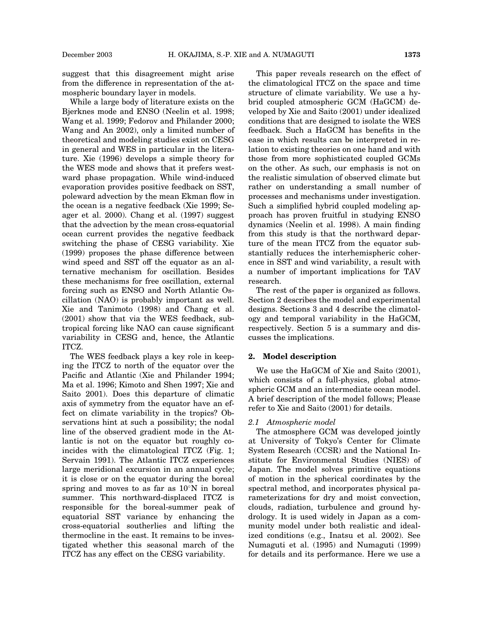While a large body of literature exists on the Bjerknes mode and ENSO (Neelin et al. 1998; Wang et al. 1999; Fedorov and Philander 2000; Wang and An 2002), only a limited number of theoretical and modeling studies exist on CESG in general and WES in particular in the literature. Xie (1996) develops a simple theory for the WES mode and shows that it prefers westward phase propagation. While wind-induced evaporation provides positive feedback on SST, poleward advection by the mean Ekman flow in the ocean is a negative feedback (Xie 1999; Seager et al. 2000). Chang et al. (1997) suggest that the advection by the mean cross-equatorial ocean current provides the negative feedback switching the phase of CESG variability. Xie (1999) proposes the phase difference between wind speed and SST off the equator as an alternative mechanism for oscillation. Besides these mechanisms for free oscillation, external forcing such as ENSO and North Atlantic Oscillation (NAO) is probably important as well. Xie and Tanimoto (1998) and Chang et al. (2001) show that via the WES feedback, subtropical forcing like NAO can cause significant variability in CESG and, hence, the Atlantic ITCZ.

The WES feedback plays a key role in keeping the ITCZ to north of the equator over the Pacific and Atlantic (Xie and Philander 1994; Ma et al. 1996; Kimoto and Shen 1997; Xie and Saito 2001). Does this departure of climatic axis of symmetry from the equator have an effect on climate variability in the tropics? Observations hint at such a possibility; the nodal line of the observed gradient mode in the Atlantic is not on the equator but roughly coincides with the climatological ITCZ (Fig. 1; Servain 1991). The Atlantic ITCZ experiences large meridional excursion in an annual cycle; it is close or on the equator during the boreal spring and moves to as far as  $10^{\circ}$ N in boreal summer. This northward-displaced ITCZ is responsible for the boreal-summer peak of equatorial SST variance by enhancing the cross-equatorial southerlies and lifting the thermocline in the east. It remains to be investigated whether this seasonal march of the ITCZ has any effect on the CESG variability.

This paper reveals research on the effect of the climatological ITCZ on the space and time structure of climate variability. We use a hybrid coupled atmospheric GCM (HaGCM) developed by Xie and Saito (2001) under idealized conditions that are designed to isolate the WES feedback. Such a HaGCM has benefits in the ease in which results can be interpreted in relation to existing theories on one hand and with those from more sophisticated coupled GCMs on the other. As such, our emphasis is not on the realistic simulation of observed climate but rather on understanding a small number of processes and mechanisms under investigation. Such a simplified hybrid coupled modeling approach has proven fruitful in studying ENSO dynamics (Neelin et al. 1998). A main finding from this study is that the northward departure of the mean ITCZ from the equator substantially reduces the interhemispheric coherence in SST and wind variability, a result with a number of important implications for TAV research.

The rest of the paper is organized as follows. Section 2 describes the model and experimental designs. Sections 3 and 4 describe the climatology and temporal variability in the HaGCM, respectively. Section 5 is a summary and discusses the implications.

#### 2. Model description

We use the HaGCM of Xie and Saito (2001), which consists of a full-physics, global atmospheric GCM and an intermediate ocean model. A brief description of the model follows; Please refer to Xie and Saito (2001) for details.

#### 2.1 Atmospheric model

The atmosphere GCM was developed jointly at University of Tokyo's Center for Climate System Research (CCSR) and the National Institute for Environmental Studies (NIES) of Japan. The model solves primitive equations of motion in the spherical coordinates by the spectral method, and incorporates physical parameterizations for dry and moist convection, clouds, radiation, turbulence and ground hydrology. It is used widely in Japan as a community model under both realistic and idealized conditions (e.g., Inatsu et al. 2002). See Numaguti et al. (1995) and Numaguti (1999) for details and its performance. Here we use a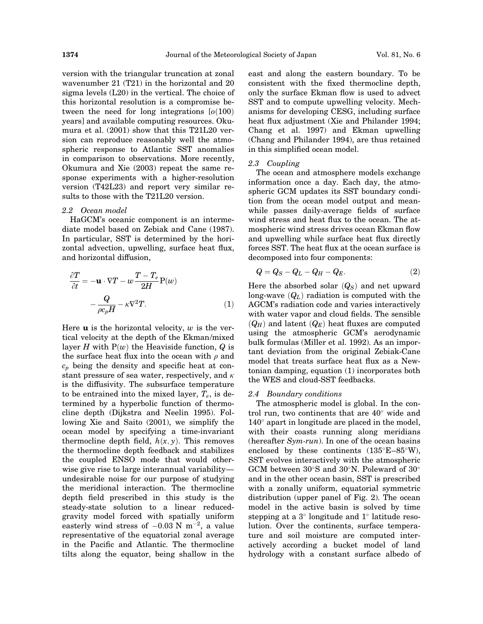version with the triangular truncation at zonal wavenumber 21 (T21) in the horizontal and 20 sigma levels (L20) in the vertical. The choice of this horizontal resolution is a compromise between the need for long integrations  $[0(100)$ years] and available computing resources. Okumura et al. (2001) show that this T21L20 version can reproduce reasonably well the atmospheric response to Atlantic SST anomalies in comparison to observations. More recently, Okumura and Xie (2003) repeat the same response experiments with a higher-resolution version (T42L23) and report very similar results to those with the T21L20 version.

#### 2.2 Ocean model

HaGCM's oceanic component is an intermediate model based on Zebiak and Cane (1987). In particular, SST is determined by the horizontal advection, upwelling, surface heat flux, and horizontal diffusion,

$$
\frac{\partial T}{\partial t} = -\mathbf{u} \cdot \nabla T - w \frac{T - T_e}{2H} \mathbf{P}(w)
$$

$$
- \frac{Q}{\rho c_p H} - \kappa \nabla^2 T.
$$
(1)

Here  $\bf{u}$  is the horizontal velocity,  $w$  is the vertical velocity at the depth of the Ekman/mixed layer H with  $P(w)$  the Heaviside function, Q is the surface heat flux into the ocean with  $\rho$  and  $c_p$  being the density and specific heat at constant pressure of sea water, respectively, and  $\kappa$ is the diffusivity. The subsurface temperature to be entrained into the mixed layer,  $T_e$ , is determined by a hyperbolic function of thermocline depth (Dijkstra and Neelin 1995). Following Xie and Saito (2001), we simplify the ocean model by specifying a time-invariant thermocline depth field,  $h(x, y)$ . This removes the thermocline depth feedback and stabilizes the coupled ENSO mode that would otherwise give rise to large interannual variability undesirable noise for our purpose of studying the meridional interaction. The thermocline depth field prescribed in this study is the steady-state solution to a linear reducedgravity model forced with spatially uniform easterly wind stress of  $-0.03$  N m<sup>-2</sup>, a value representative of the equatorial zonal average in the Pacific and Atlantic. The thermocline tilts along the equator, being shallow in the east and along the eastern boundary. To be consistent with the fixed thermocline depth, only the surface Ekman flow is used to advect SST and to compute upwelling velocity. Mechanisms for developing CESG, including surface heat flux adjustment (Xie and Philander 1994; Chang et al. 1997) and Ekman upwelling (Chang and Philander 1994), are thus retained in this simplified ocean model.

#### 2.3 Coupling

The ocean and atmosphere models exchange information once a day. Each day, the atmospheric GCM updates its SST boundary condition from the ocean model output and meanwhile passes daily-average fields of surface wind stress and heat flux to the ocean. The atmospheric wind stress drives ocean Ekman flow and upwelling while surface heat flux directly forces SST. The heat flux at the ocean surface is decomposed into four components:

$$
Q = Q_S - Q_L - Q_H - Q_E. \tag{2}
$$

Here the absorbed solar  $(Q_S)$  and net upward long-wave  $(Q_L)$  radiation is computed with the AGCM's radiation code and varies interactively with water vapor and cloud fields. The sensible  $(Q_H)$  and latent  $(Q_E)$  heat fluxes are computed using the atmospheric GCM's aerodynamic bulk formulas (Miller et al. 1992). As an important deviation from the original Zebiak-Cane model that treats surface heat flux as a Newtonian damping, equation (1) incorporates both the WES and cloud-SST feedbacks.

#### 2.4 Boundary conditions

The atmospheric model is global. In the control run, two continents that are  $40^{\circ}$  wide and  $140^{\circ}$  apart in longitude are placed in the model, with their coasts running along meridians (hereafter Sym-run). In one of the ocean basins enclosed by these continents  $(135^{\circ}E-85^{\circ}W)$ , SST evolves interactively with the atmospheric GCM between  $30^{\circ}$ S and  $30^{\circ}$ N. Poleward of  $30^{\circ}$ and in the other ocean basin, SST is prescribed with a zonally uniform, equatorial symmetric distribution (upper panel of Fig. 2). The ocean model in the active basin is solved by time stepping at a  $3^{\circ}$  longitude and  $1^{\circ}$  latitude resolution. Over the continents, surface temperature and soil moisture are computed interactively according a bucket model of land hydrology with a constant surface albedo of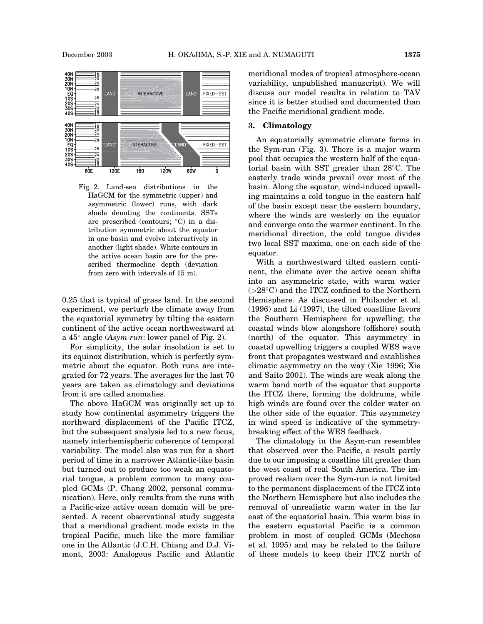

Fig. 2. Land-sea distributions in the HaGCM for the symmetric (upper) and asymmetric (lower) runs, with dark shade denoting the continents. SSTs are prescribed (contours;  $\degree$ C) in a distribution symmetric about the equator in one basin and evolve interactively in another (light shade). White contours in the active ocean basin are for the prescribed thermocline depth (deviation from zero with intervals of 15 m).

0.25 that is typical of grass land. In the second experiment, we perturb the climate away from the equatorial symmetry by tilting the eastern continent of the active ocean northwestward at a  $45^{\circ}$  angle (Asym-run: lower panel of Fig. 2).

For simplicity, the solar insolation is set to its equinox distribution, which is perfectly symmetric about the equator. Both runs are integrated for 72 years. The averages for the last 70 years are taken as climatology and deviations from it are called anomalies.

The above HaGCM was originally set up to study how continental asymmetry triggers the northward displacement of the Pacific ITCZ, but the subsequent analysis led to a new focus, namely interhemispheric coherence of temporal variability. The model also was run for a short period of time in a narrower Atlantic-like basin but turned out to produce too weak an equatorial tongue, a problem common to many coupled GCMs (P. Chang 2002, personal communication). Here, only results from the runs with a Pacific-size active ocean domain will be presented. A recent observational study suggests that a meridional gradient mode exists in the tropical Pacific, much like the more familiar one in the Atlantic (J.C.H. Chiang and D.J. Vimont, 2003: Analogous Pacific and Atlantic meridional modes of tropical atmosphere-ocean variability, unpublished manuscript). We will discuss our model results in relation to TAV since it is better studied and documented than the Pacific meridional gradient mode.

## 3. Climatology

An equatorially symmetric climate forms in the Sym-run (Fig. 3). There is a major warm pool that occupies the western half of the equatorial basin with SST greater than  $28^{\circ}$ C. The easterly trade winds prevail over most of the basin. Along the equator, wind-induced upwelling maintains a cold tongue in the eastern half of the basin except near the eastern boundary, where the winds are westerly on the equator and converge onto the warmer continent. In the meridional direction, the cold tongue divides two local SST maxima, one on each side of the equator.

With a northwestward tilted eastern continent, the climate over the active ocean shifts into an asymmetric state, with warm water  $(>28^{\circ}C)$  and the ITCZ confined to the Northern Hemisphere. As discussed in Philander et al. (1996) and Li (1997), the tilted coastline favors the Southern Hemisphere for upwelling; the coastal winds blow alongshore (offshore) south (north) of the equator. This asymmetry in coastal upwelling triggers a coupled WES wave front that propagates westward and establishes climatic asymmetry on the way (Xie 1996; Xie and Saito 2001). The winds are weak along the warm band north of the equator that supports the ITCZ there, forming the doldrums, while high winds are found over the colder water on the other side of the equator. This asymmetry in wind speed is indicative of the symmetrybreaking effect of the WES feedback.

The climatology in the Asym-run resembles that observed over the Pacific, a result partly due to our imposing a coastline tilt greater than the west coast of real South America. The improved realism over the Sym-run is not limited to the permanent displacement of the ITCZ into the Northern Hemisphere but also includes the removal of unrealistic warm water in the far east of the equatorial basin. This warm bias in the eastern equatorial Pacific is a common problem in most of coupled GCMs (Mechoso et al. 1995) and may be related to the failure of these models to keep their ITCZ north of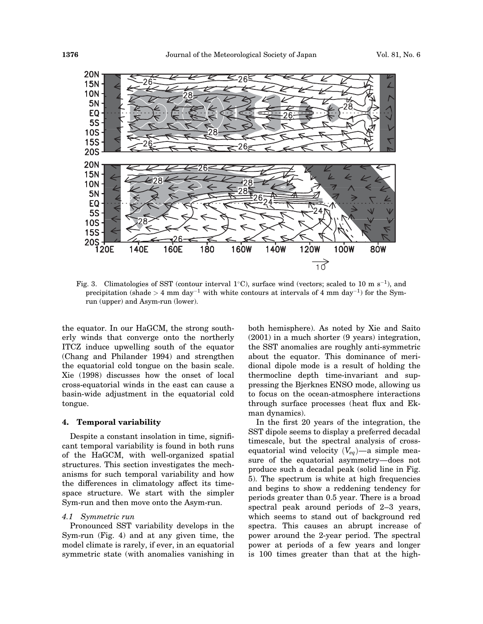

Fig. 3. Climatologies of SST (contour interval 1<sup>o</sup>C), surface wind (vectors; scaled to 10 m s<sup>-1</sup>), and precipitation (shade  $> 4$  mm day<sup>-1</sup> with white contours at intervals of 4 mm day<sup>-1</sup>) for the Symrun (upper) and Asym-run (lower).

the equator. In our HaGCM, the strong southerly winds that converge onto the northerly ITCZ induce upwelling south of the equator (Chang and Philander 1994) and strengthen the equatorial cold tongue on the basin scale. Xie (1998) discusses how the onset of local cross-equatorial winds in the east can cause a basin-wide adjustment in the equatorial cold tongue.

#### 4. Temporal variability

Despite a constant insolation in time, significant temporal variability is found in both runs of the HaGCM, with well-organized spatial structures. This section investigates the mechanisms for such temporal variability and how the differences in climatology affect its timespace structure. We start with the simpler Sym-run and then move onto the Asym-run.

# 4.1 Symmetric run

Pronounced SST variability develops in the Sym-run (Fig. 4) and at any given time, the model climate is rarely, if ever, in an equatorial symmetric state (with anomalies vanishing in both hemisphere). As noted by Xie and Saito (2001) in a much shorter (9 years) integration, the SST anomalies are roughly anti-symmetric about the equator. This dominance of meridional dipole mode is a result of holding the thermocline depth time-invariant and suppressing the Bjerknes ENSO mode, allowing us to focus on the ocean-atmosphere interactions through surface processes (heat flux and Ekman dynamics).

In the first 20 years of the integration, the SST dipole seems to display a preferred decadal timescale, but the spectral analysis of crossequatorial wind velocity  $(V_{eq})$ —a simple measure of the equatorial asymmetry—does not produce such a decadal peak (solid line in Fig. 5). The spectrum is white at high frequencies and begins to show a reddening tendency for periods greater than 0.5 year. There is a broad spectral peak around periods of 2–3 years, which seems to stand out of background red spectra. This causes an abrupt increase of power around the 2-year period. The spectral power at periods of a few years and longer is 100 times greater than that at the high-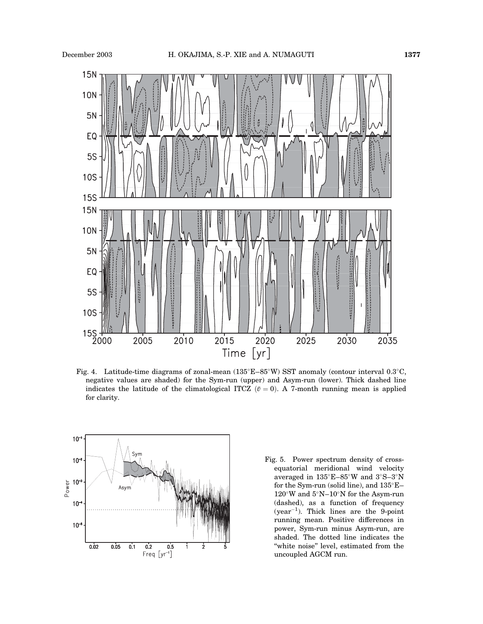

Fig. 4. Latitude-time diagrams of zonal-mean  $(135^{\circ}E-85^{\circ}W)$  SST anomaly (contour interval 0.3°C, negative values are shaded) for the Sym-run (upper) and Asym-run (lower). Thick dashed line indicates the latitude of the climatological ITCZ  $(\bar{v} = 0)$ . A 7-month running mean is applied for clarity.



Fig. 5. Power spectrum density of crossequatorial meridional wind velocity averaged in  $135^{\circ}E-85^{\circ}W$  and  $3^{\circ}S-3^{\circ}N$ for the Sym-run (solid line), and  $135^{\circ}E 120^\circ\rm{W}$  and  $5^\circ\rm{N-}10^\circ\rm{N}$  for the Asym-run (dashed), as a function of frequency (year-1). Thick lines are the 9-point running mean. Positive differences in power, Sym-run minus Asym-run, are shaded. The dotted line indicates the ''white noise'' level, estimated from the uncoupled AGCM run.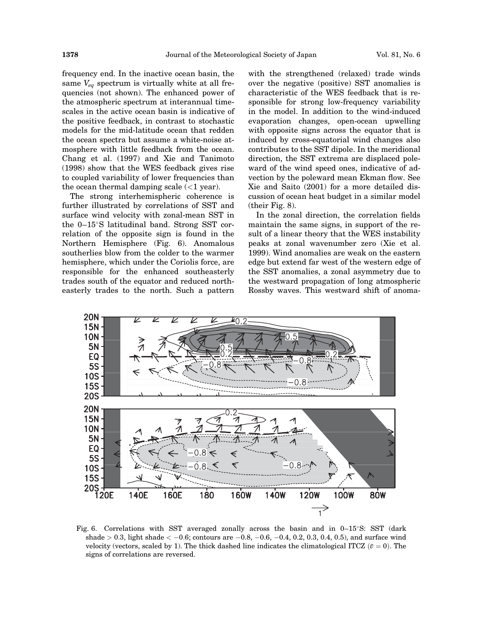frequency end. In the inactive ocean basin, the same  $V_{eq}$  spectrum is virtually white at all frequencies (not shown). The enhanced power of the atmospheric spectrum at interannual timescales in the active ocean basin is indicative of the positive feedback, in contrast to stochastic models for the mid-latitude ocean that redden the ocean spectra but assume a white-noise atmosphere with little feedback from the ocean. Chang et al. (1997) and Xie and Tanimoto (1998) show that the WES feedback gives rise to coupled variability of lower frequencies than the ocean thermal damping scale  $\left($  / year).

The strong interhemispheric coherence is further illustrated by correlations of SST and surface wind velocity with zonal-mean SST in the  $0-15^{\circ}$ S latitudinal band. Strong SST correlation of the opposite sign is found in the Northern Hemisphere (Fig. 6). Anomalous southerlies blow from the colder to the warmer hemisphere, which under the Coriolis force, are responsible for the enhanced southeasterly trades south of the equator and reduced northeasterly trades to the north. Such a pattern with the strengthened (relaxed) trade winds over the negative (positive) SST anomalies is characteristic of the WES feedback that is responsible for strong low-frequency variability in the model. In addition to the wind-induced evaporation changes, open-ocean upwelling with opposite signs across the equator that is induced by cross-equatorial wind changes also contributes to the SST dipole. In the meridional direction, the SST extrema are displaced poleward of the wind speed ones, indicative of advection by the poleward mean Ekman flow. See Xie and Saito (2001) for a more detailed discussion of ocean heat budget in a similar model (their Fig. 8).

In the zonal direction, the correlation fields maintain the same signs, in support of the result of a linear theory that the WES instability peaks at zonal wavenumber zero (Xie et al. 1999). Wind anomalies are weak on the eastern edge but extend far west of the western edge of the SST anomalies, a zonal asymmetry due to the westward propagation of long atmospheric Rossby waves. This westward shift of anoma-



Fig. 6. Correlations with SST averaged zonally across the basin and in  $0-15\degree$ S: SST (dark shade  $> 0.3$ , light shade  $< -0.6$ ; contours are  $-0.8$ ,  $-0.6$ ,  $-0.4$ , 0.2, 0.3, 0.4, 0.5), and surface wind velocity (vectors, scaled by 1). The thick dashed line indicates the climatological ITCZ  $(\bar{v} = 0)$ . The signs of correlations are reversed.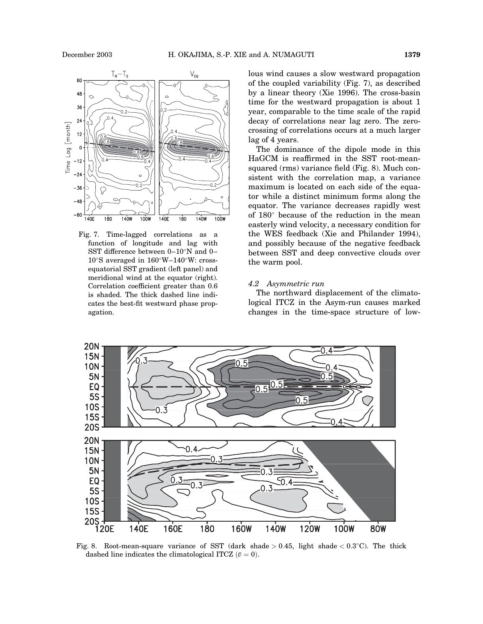

Fig. 7. Time-lagged correlations as a function of longitude and lag with SST difference between  $0-10^{\circ}N$  and  $0 10^{\circ}$ S averaged in  $160^{\circ}$ W $-140^{\circ}$ W: crossequatorial SST gradient (left panel) and meridional wind at the equator (right). Correlation coefficient greater than 0.6 is shaded. The thick dashed line indicates the best-fit westward phase propagation.

lous wind causes a slow westward propagation of the coupled variability (Fig. 7), as described by a linear theory (Xie 1996). The cross-basin time for the westward propagation is about 1 year, comparable to the time scale of the rapid decay of correlations near lag zero. The zerocrossing of correlations occurs at a much larger lag of 4 years.

The dominance of the dipole mode in this HaGCM is reaffirmed in the SST root-meansquared (rms) variance field (Fig. 8). Much consistent with the correlation map, a variance maximum is located on each side of the equator while a distinct minimum forms along the equator. The variance decreases rapidly west of  $180^{\circ}$  because of the reduction in the mean easterly wind velocity, a necessary condition for the WES feedback (Xie and Philander 1994), and possibly because of the negative feedback between SST and deep convective clouds over the warm pool.

#### 4.2 Asymmetric run

The northward displacement of the climatological ITCZ in the Asym-run causes marked changes in the time-space structure of low-



Fig. 8. Root-mean-square variance of SST (dark shade > 0.45, light shade <  $0.3^{\circ}$ C). The thick dashed line indicates the climatological ITCZ  $(v = 0)$ .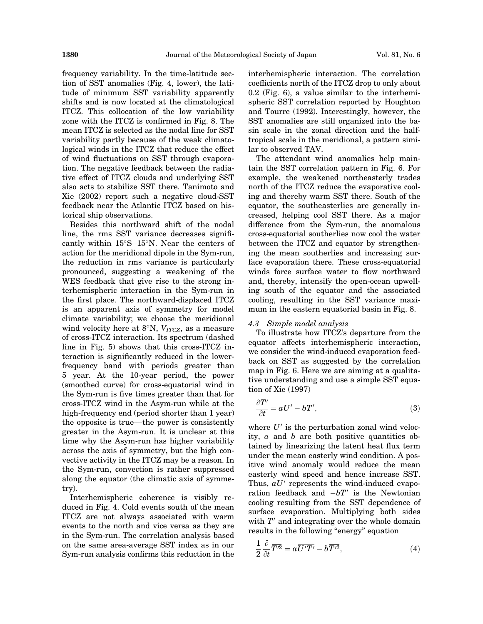frequency variability. In the time-latitude section of SST anomalies (Fig. 4, lower), the latitude of minimum SST variability apparently shifts and is now located at the climatological ITCZ. This collocation of the low variability zone with the ITCZ is confirmed in Fig. 8. The mean ITCZ is selected as the nodal line for SST variability partly because of the weak climatological winds in the ITCZ that reduce the effect of wind fluctuations on SST through evaporation. The negative feedback between the radiative effect of ITCZ clouds and underlying SST also acts to stabilize SST there. Tanimoto and Xie (2002) report such a negative cloud-SST feedback near the Atlantic ITCZ based on historical ship observations.

Besides this northward shift of the nodal line, the rms SST variance decreases significantly within  $15^{\circ}S-15^{\circ}N$ . Near the centers of action for the meridional dipole in the Sym-run, the reduction in rms variance is particularly pronounced, suggesting a weakening of the WES feedback that give rise to the strong interhemispheric interaction in the Sym-run in the first place. The northward-displaced ITCZ is an apparent axis of symmetry for model climate variability; we choose the meridional wind velocity here at  $8^\circ$ N,  $V_{ITCZ}$ , as a measure of cross-ITCZ interaction. Its spectrum (dashed line in Fig. 5) shows that this cross-ITCZ interaction is significantly reduced in the lowerfrequency band with periods greater than 5 year. At the 10-year period, the power (smoothed curve) for cross-equatorial wind in the Sym-run is five times greater than that for cross-ITCZ wind in the Asym-run while at the high-frequency end (period shorter than 1 year) the opposite is true—the power is consistently greater in the Asym-run. It is unclear at this time why the Asym-run has higher variability across the axis of symmetry, but the high convective activity in the ITCZ may be a reason. In the Sym-run, convection is rather suppressed along the equator (the climatic axis of symmetry).

Interhemispheric coherence is visibly reduced in Fig. 4. Cold events south of the mean ITCZ are not always associated with warm events to the north and vice versa as they are in the Sym-run. The correlation analysis based on the same area-average SST index as in our Sym-run analysis confirms this reduction in the interhemispheric interaction. The correlation coefficients north of the ITCZ drop to only about 0.2 (Fig. 6), a value similar to the interhemispheric SST correlation reported by Houghton and Tourre (1992). Interestingly, however, the SST anomalies are still organized into the basin scale in the zonal direction and the halftropical scale in the meridional, a pattern similar to observed TAV.

The attendant wind anomalies help maintain the SST correlation pattern in Fig. 6. For example, the weakened northeasterly trades north of the ITCZ reduce the evaporative cooling and thereby warm SST there. South of the equator, the southeasterlies are generally increased, helping cool SST there. As a major difference from the Sym-run, the anomalous cross-equatorial southerlies now cool the water between the ITCZ and equator by strengthening the mean southerlies and increasing surface evaporation there. These cross-equatorial winds force surface water to flow northward and, thereby, intensify the open-ocean upwelling south of the equator and the associated cooling, resulting in the SST variance maximum in the eastern equatorial basin in Fig. 8.

#### 4.3 Simple model analysis

To illustrate how ITCZ's departure from the equator affects interhemispheric interaction, we consider the wind-induced evaporation feedback on SST as suggested by the correlation map in Fig. 6. Here we are aiming at a qualitative understanding and use a simple SST equation of Xie (1997)

$$
\frac{\partial T'}{\partial t} = aU' - bT',\tag{3}
$$

where  $U'$  is the perturbation zonal wind velocity,  $\alpha$  and  $\beta$  are both positive quantities obtained by linearizing the latent heat flux term under the mean easterly wind condition. A positive wind anomaly would reduce the mean easterly wind speed and hence increase SST. Thus,  $aU'$  represents the wind-induced evaporation feedback and  $-bT'$  is the Newtonian cooling resulting from the SST dependence of surface evaporation. Multiplying both sides with  $T<sup>′</sup>$  and integrating over the whole domain results in the following "energy" equation

$$
\frac{1}{2}\frac{\partial}{\partial t}\overline{T'^{2}} = a\overline{U'T'} - b\overline{T'^{2}},\tag{4}
$$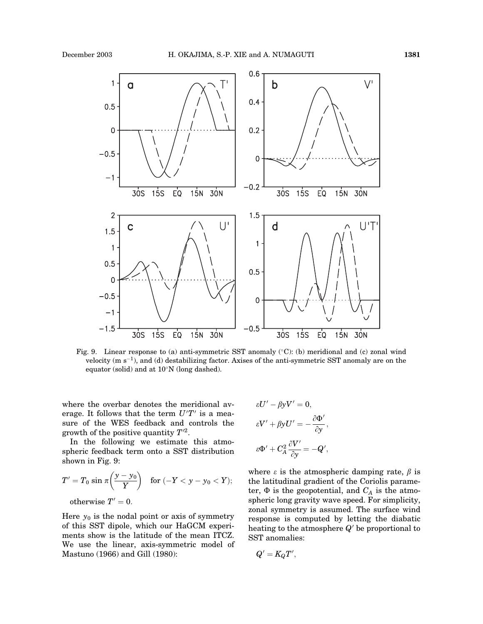

Fig. 9. Linear response to (a) anti-symmetric SST anomaly  $(°C)$ : (b) meridional and (c) zonal wind velocity (m  $s^{-1}$ ), and (d) destabilizing factor. Axises of the anti-symmetric SST anomaly are on the equator (solid) and at  $10^{\circ}$ N (long dashed).

where the overbar denotes the meridional average. It follows that the term  $U'T'$  is a measure of the WES feedback and controls the growth of the positive quantity  $T^2$ .

In the following we estimate this atmospheric feedback term onto a SST distribution shown in Fig. 9:

$$
T'=T_0\,\sin\,\pi\bigg(\frac{\mathsf{y}-\mathsf{y}_0}{Y}\bigg)\quad\text{for } (-Y<\mathsf{y}-\mathsf{y}_0< Y);
$$

otherwise  $T'=0$ .

Here  $y_0$  is the nodal point or axis of symmetry of this SST dipole, which our HaGCM experiments show is the latitude of the mean ITCZ. We use the linear, axis-symmetric model of Mastuno (1966) and Gill (1980):

$$
\varepsilon U' - \beta y V' = 0,
$$
  
\n
$$
\varepsilon V' + \beta y U' = -\frac{\partial \Phi'}{\partial y},
$$
  
\n
$$
\varepsilon \Phi' + C_A^2 \frac{\partial V'}{\partial y} = -Q',
$$

where  $\varepsilon$  is the atmospheric damping rate,  $\beta$  is the latitudinal gradient of the Coriolis parameter,  $\Phi$  is the geopotential, and  $C_A$  is the atmospheric long gravity wave speed. For simplicity, zonal symmetry is assumed. The surface wind response is computed by letting the diabatic heating to the atmosphere  $Q'$  be proportional to SST anomalies:

$$
Q'=K_{Q}T',\quad
$$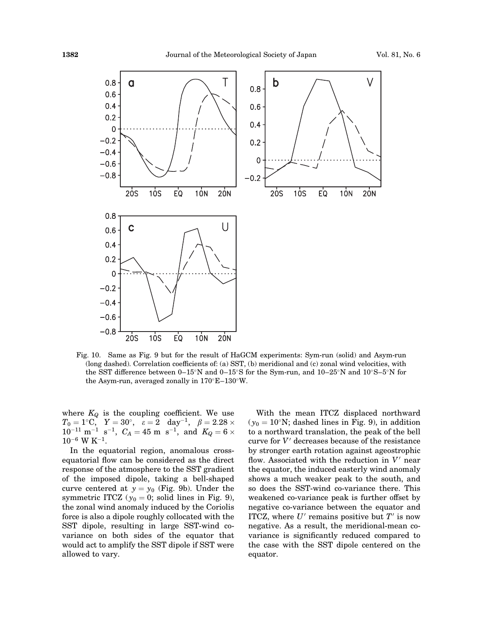

Fig. 10. Same as Fig. 9 but for the result of HaGCM experiments: Sym-run (solid) and Asym-run (long dashed). Correlation coefficients of: (a) SST, (b) meridional and (c) zonal wind velocities, with the SST difference between  $0-15^{\circ}N$  and  $0-15^{\circ}S$  for the Sym-run, and  $10-25^{\circ}N$  and  $10^{\circ}S-5^{\circ}N$  for the Asym-run, averaged zonally in  $170^{\circ}E-130^{\circ}W$ .

where  $K_Q$  is the coupling coefficient. We use  $T_0=1^{\circ}\text{C},\ \ \ Y=30^{\circ},\ \ \ \varepsilon=2\ \ \ \mathrm{day^{-1}},\ \ \ \beta=2.28\times$  $10^{-11}$  m<sup>-1</sup> s<sup>-1</sup>,  $C_A = 45$  m s<sup>-1</sup>, and  $K_Q = 6 \times$  $10^{-6}$  W K<sup>-1</sup>.

In the equatorial region, anomalous crossequatorial flow can be considered as the direct response of the atmosphere to the SST gradient of the imposed dipole, taking a bell-shaped curve centered at  $y = y_0$  (Fig. 9b). Under the symmetric ITCZ ( $y_0 = 0$ ; solid lines in Fig. 9), the zonal wind anomaly induced by the Coriolis force is also a dipole roughly collocated with the SST dipole, resulting in large SST-wind covariance on both sides of the equator that would act to amplify the SST dipole if SST were allowed to vary.

With the mean ITCZ displaced northward  $(y_0 = 10^\circ N;$  dashed lines in Fig. 9), in addition to a northward translation, the peak of the bell curve for  $V'$  decreases because of the resistance by stronger earth rotation against ageostrophic flow. Associated with the reduction in  $V'$  near the equator, the induced easterly wind anomaly shows a much weaker peak to the south, and so does the SST-wind co-variance there. This weakened co-variance peak is further offset by negative co-variance between the equator and ITCZ, where  $U'$  remains positive but  $T'$  is now negative. As a result, the meridional-mean covariance is significantly reduced compared to the case with the SST dipole centered on the equator.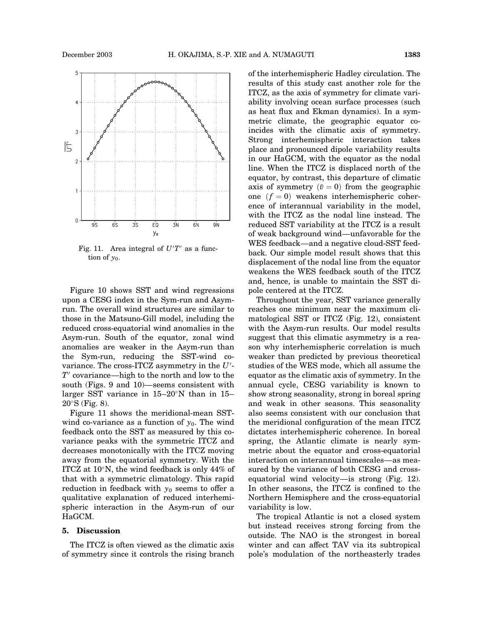

Fig. 11. Area integral of  $U'T'$  as a function of  $y_0$ .

Figure 10 shows SST and wind regressions upon a CESG index in the Sym-run and Asymrun. The overall wind structures are similar to those in the Matsuno-Gill model, including the reduced cross-equatorial wind anomalies in the Asym-run. South of the equator, zonal wind anomalies are weaker in the Asym-run than the Sym-run, reducing the SST-wind covariance. The cross-ITCZ asymmetry in the  $U'$ - $T<sup>′</sup>$  covariance—high to the north and low to the south (Figs. 9 and 10)—seems consistent with larger SST variance in  $15-20^\circ$ N than in 15–  $20^\circ$ S (Fig. 8).

Figure 11 shows the meridional-mean SSTwind co-variance as a function of  $y_0$ . The wind feedback onto the SST as measured by this covariance peaks with the symmetric ITCZ and decreases monotonically with the ITCZ moving away from the equatorial symmetry. With the ITCZ at  $10^{\circ}$ N, the wind feedback is only 44% of that with a symmetric climatology. This rapid reduction in feedback with  $y_0$  seems to offer a qualitative explanation of reduced interhemispheric interaction in the Asym-run of our HaGCM.

## 5. Discussion

The ITCZ is often viewed as the climatic axis of symmetry since it controls the rising branch of the interhemispheric Hadley circulation. The results of this study cast another role for the ITCZ, as the axis of symmetry for climate variability involving ocean surface processes (such as heat flux and Ekman dynamics). In a symmetric climate, the geographic equator coincides with the climatic axis of symmetry. Strong interhemispheric interaction takes place and pronounced dipole variability results in our HaGCM, with the equator as the nodal line. When the ITCZ is displaced north of the equator, by contrast, this departure of climatic axis of symmetry  $(\bar{v} = 0)$  from the geographic one  $(f = 0)$  weakens interhemispheric coherence of interannual variability in the model, with the ITCZ as the nodal line instead. The reduced SST variability at the ITCZ is a result of weak background wind—unfavorable for the WES feedback—and a negative cloud-SST feedback. Our simple model result shows that this displacement of the nodal line from the equator weakens the WES feedback south of the ITCZ and, hence, is unable to maintain the SST dipole centered at the ITCZ.

Throughout the year, SST variance generally reaches one minimum near the maximum climatological SST or ITCZ (Fig. 12), consistent with the Asym-run results. Our model results suggest that this climatic asymmetry is a reason why interhemispheric correlation is much weaker than predicted by previous theoretical studies of the WES mode, which all assume the equator as the climatic axis of symmetry. In the annual cycle, CESG variability is known to show strong seasonality, strong in boreal spring and weak in other seasons. This seasonality also seems consistent with our conclusion that the meridional configuration of the mean ITCZ dictates interhemispheric coherence. In boreal spring, the Atlantic climate is nearly symmetric about the equator and cross-equatorial interaction on interannual timescales—as measured by the variance of both CESG and crossequatorial wind velocity—is strong (Fig. 12). In other seasons, the ITCZ is confined to the Northern Hemisphere and the cross-equatorial variability is low.

The tropical Atlantic is not a closed system but instead receives strong forcing from the outside. The NAO is the strongest in boreal winter and can affect TAV via its subtropical pole's modulation of the northeasterly trades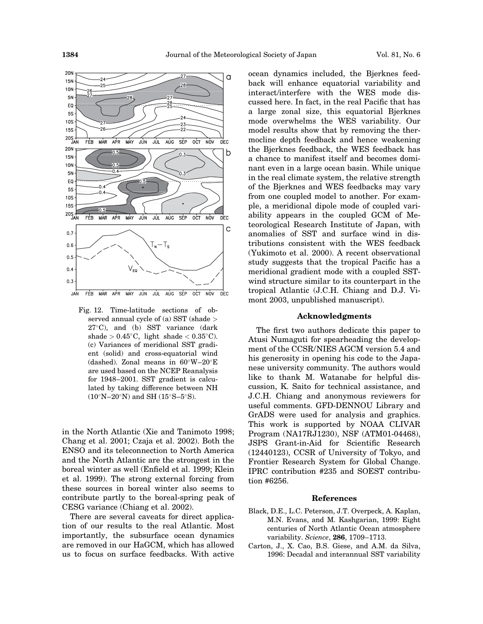

Fig. 12. Time-latitude sections of observed annual cycle of (a) SST (shade >  $27^{\circ}$ C), and (b) SST variance (dark shade >  $0.45^{\circ}$ C, light shade <  $0.35^{\circ}$ C). (c) Variances of meridional SST gradient (solid) and cross-equatorial wind (dashed). Zonal means in  $60^{\circ}$ W-20 $^{\circ}$ E are used based on the NCEP Reanalysis for 1948–2001. SST gradient is calculated by taking difference between NH  $(10^{\circ}N-20^{\circ}N)$  and SH  $(15^{\circ}S-5^{\circ}S)$ .

in the North Atlantic (Xie and Tanimoto 1998; Chang et al. 2001; Czaja et al. 2002). Both the ENSO and its teleconnection to North America and the North Atlantic are the strongest in the boreal winter as well (Enfield et al. 1999; Klein et al. 1999). The strong external forcing from these sources in boreal winter also seems to contribute partly to the boreal-spring peak of CESG variance (Chiang et al. 2002).

There are several caveats for direct application of our results to the real Atlantic. Most importantly, the subsurface ocean dynamics are removed in our HaGCM, which has allowed us to focus on surface feedbacks. With active ocean dynamics included, the Bjerknes feedback will enhance equatorial variability and interact/interfere with the WES mode discussed here. In fact, in the real Pacific that has a large zonal size, this equatorial Bjerknes mode overwhelms the WES variability. Our model results show that by removing the thermocline depth feedback and hence weakening the Bjerknes feedback, the WES feedback has a chance to manifest itself and becomes dominant even in a large ocean basin. While unique in the real climate system, the relative strength of the Bjerknes and WES feedbacks may vary from one coupled model to another. For example, a meridional dipole mode of coupled variability appears in the coupled GCM of Meteorological Research Institute of Japan, with anomalies of SST and surface wind in distributions consistent with the WES feedback (Yukimoto et al. 2000). A recent observational study suggests that the tropical Pacific has a meridional gradient mode with a coupled SSTwind structure similar to its counterpart in the tropical Atlantic (J.C.H. Chiang and D.J. Vimont 2003, unpublished manuscript).

#### Acknowledgments

The first two authors dedicate this paper to Atusi Numaguti for spearheading the development of the CCSR/NIES AGCM version 5.4 and his generosity in opening his code to the Japanese university community. The authors would like to thank M. Watanabe for helpful discussion, K. Saito for technical assistance, and J.C.H. Chiang and anonymous reviewers for useful comments. GFD-DENNOU Library and GrADS were used for analysis and graphics. This work is supported by NOAA CLIVAR Program (NA17RJ1230), NSF (ATM01-04468), JSPS Grant-in-Aid for Scientific Research (12440123), CCSR of University of Tokyo, and Frontier Research System for Global Change. IPRC contribution #235 and SOEST contribution #6256.

#### References

- Black, D.E., L.C. Peterson, J.T. Overpeck, A. Kaplan, M.N. Evans, and M. Kashgarian, 1999: Eight centuries of North Atlantic Ocean atmosphere variability. Science, 286, 1709–1713.
- Carton, J., X. Cao, B.S. Giese, and A.M. da Silva, 1996: Decadal and interannual SST variability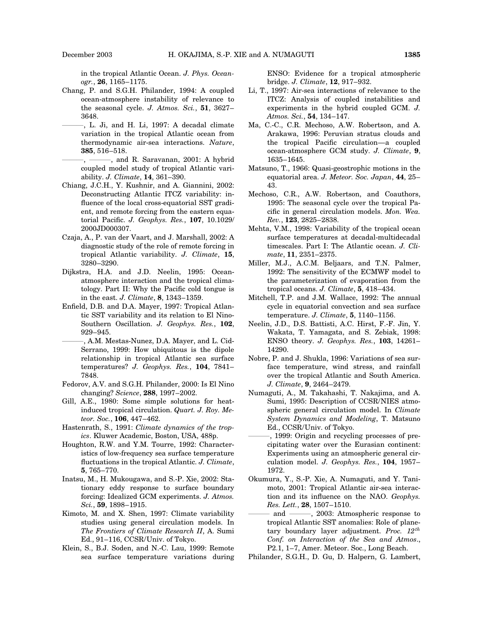in the tropical Atlantic Ocean. J. Phys. Oceanogr., 26, 1165–1175.

- Chang, P. and S.G.H. Philander, 1994: A coupled ocean-atmosphere instability of relevance to the seasonal cycle. J. Atmos. Sci., 51, 3627-3648.
	- ———, L. Ji, and H. Li, 1997: A decadal climate variation in the tropical Atlantic ocean from thermodynamic air-sea interactions. Nature, 385, 516–518.
- $-$ , and R. Saravanan, 2001: A hybrid coupled model study of tropical Atlantic variability. J. Climate, 14, 361–390.
- Chiang, J.C.H., Y. Kushnir, and A. Giannini, 2002: Deconstructing Atlantic ITCZ variability: influence of the local cross-equatorial SST gradient, and remote forcing from the eastern equatorial Pacific. J. Geophys. Res., 107, 10.1029/ 2000JD000307.
- Czaja, A., P. van der Vaart, and J. Marshall, 2002: A diagnostic study of the role of remote forcing in tropical Atlantic variability. J. Climate, 15, 3280–3290.
- Dijkstra, H.A. and J.D. Neelin, 1995: Oceanatmosphere interaction and the tropical climatology. Part II: Why the Pacific cold tongue is in the east. J. Climate, 8, 1343–1359.
- Enfield, D.B. and D.A. Mayer, 1997: Tropical Atlantic SST variability and its relation to El Nino-Southern Oscillation. J. Geophys. Res., 102, 929–945.
- , A.M. Mestas-Nunez, D.A. Mayer, and L. Cid-Serrano, 1999: How ubiquitous is the dipole relationship in tropical Atlantic sea surface temperatures? J. Geophys. Res., 104, 7841– 7848.
- Fedorov, A.V. and S.G.H. Philander, 2000: Is El Nino changing? Science, 288, 1997–2002.
- Gill, A.E., 1980: Some simple solutions for heatinduced tropical circulation. Quart. J. Roy. Meteor. Soc., 106, 447–462.
- Hastenrath, S., 1991: Climate dynamics of the tropics. Kluwer Academic, Boston, USA, 488p.
- Houghton, R.W. and Y.M. Tourre, 1992: Characteristics of low-frequency sea surface temperature fluctuations in the tropical Atlantic. J. Climate, 5, 765–770.
- Inatsu, M., H. Mukougawa, and S.-P. Xie, 2002: Stationary eddy response to surface boundary forcing: Idealized GCM experiments. J. Atmos. Sci., 59, 1898–1915.
- Kimoto, M. and X. Shen, 1997: Climate variability studies using general circulation models. In The Frontiers of Climate Research II, A. Sumi Ed., 91–116, CCSR/Univ. of Tokyo.
- Klein, S., B.J. Soden, and N.-C. Lau, 1999: Remote sea surface temperature variations during

ENSO: Evidence for a tropical atmospheric bridge. J. Climate, 12, 917–932.

- Li, T., 1997: Air-sea interactions of relevance to the ITCZ: Analysis of coupled instabilities and experiments in the hybrid coupled GCM. J. Atmos. Sci., 54, 134-147.
- Ma, C.-C., C.R. Mechoso, A.W. Robertson, and A. Arakawa, 1996: Peruvian stratus clouds and the tropical Pacific circulation—a coupled ocean-atmosphere GCM study. J. Climate, 9, 1635–1645.
- Matsuno, T., 1966: Quasi-geostrophic motions in the equatorial area. J. Meteor. Soc. Japan, 44, 25– 43.
- Mechoso, C.R., A.W. Robertson, and Coauthors, 1995: The seasonal cycle over the tropical Pacific in general circulation models. Mon. Wea. Rev., 123, 2825–2838.
- Mehta, V.M., 1998: Variability of the tropical ocean surface temperatures at decadal-multidecadal timescales. Part I: The Atlantic ocean. J. Climate, 11, 2351–2375.
- Miller, M.J., A.C.M. Beljaars, and T.N. Palmer, 1992: The sensitivity of the ECMWF model to the parameterization of evaporation from the tropical oceans. J. Climate, 5, 418–434.
- Mitchell, T.P. and J.M. Wallace, 1992: The annual cycle in equatorial convection and sea surface temperature. J. Climate, 5, 1140–1156.
- Neelin, J.D., D.S. Battisti, A.C. Hirst, F.-F. Jin, Y. Wakata, T. Yamagata, and S. Zebiak, 1998: ENSO theory. J. Geophys. Res., 103, 14261– 14290.
- Nobre, P. and J. Shukla, 1996: Variations of sea surface temperature, wind stress, and rainfall over the tropical Atlantic and South America. J. Climate, 9, 2464–2479.
- Numaguti, A., M. Takahashi, T. Nakajima, and A. Sumi, 1995: Description of CCSR/NIES atmospheric general circulation model. In Climate System Dynamics and Modeling, T. Matsuno Ed., CCSR/Univ. of Tokyo.
- ———, 1999: Origin and recycling processes of precipitating water over the Eurasian continent: Experiments using an atmospheric general circulation model. J. Geophys. Res., 104, 1957– 1972.
- Okumura, Y., S.-P. Xie, A. Numaguti, and Y. Tanimoto, 2001: Tropical Atlantic air-sea interaction and its influence on the NAO. Geophys. Res. Lett., 28, 1507–1510.
- and ——, 2003: Atmospheric response to tropical Atlantic SST anomalies: Role of planetary boundary layer adjustment. Proc.  $12^{th}$ Conf. on Interaction of the Sea and Atmos., P2.1, 1–7, Amer. Meteor. Soc., Long Beach.
- Philander, S.G.H., D. Gu, D. Halpern, G. Lambert,